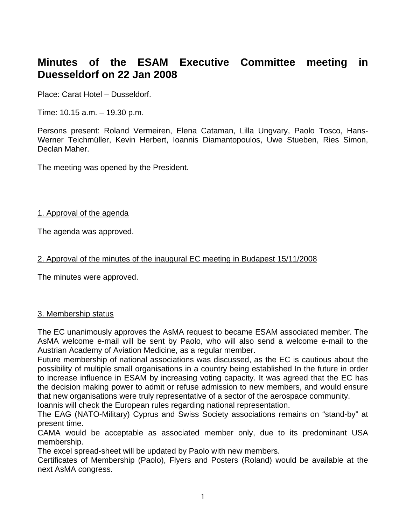# **Minutes of the ESAM Executive Committee meeting in Duesseldorf on 22 Jan 2008**

Place: Carat Hotel – Dusseldorf.

Time: 10.15 a.m. – 19.30 p.m.

Persons present: Roland Vermeiren, Elena Cataman, Lilla Ungvary, Paolo Tosco, Hans-Werner Teichmüller, Kevin Herbert, Ioannis Diamantopoulos, Uwe Stueben, Ries Simon, Declan Maher.

The meeting was opened by the President.

#### 1. Approval of the agenda

The agenda was approved.

## 2. Approval of the minutes of the inaugural EC meeting in Budapest 15/11/2008

The minutes were approved.

## 3. Membership status

The EC unanimously approves the AsMA request to became ESAM associated member. The AsMA welcome e-mail will be sent by Paolo, who will also send a welcome e-mail to the Austrian Academy of Aviation Medicine, as a regular member.

Future membership of national associations was discussed, as the EC is cautious about the possibility of multiple small organisations in a country being established In the future in order to increase influence in ESAM by increasing voting capacity. It was agreed that the EC has the decision making power to admit or refuse admission to new members, and would ensure that new organisations were truly representative of a sector of the aerospace community.

Ioannis will check the European rules regarding national representation.

The EAG (NATO-Military) Cyprus and Swiss Society associations remains on "stand-by" at present time.

CAMA would be acceptable as associated member only, due to its predominant USA membership.

The excel spread-sheet will be updated by Paolo with new members.

Certificates of Membership (Paolo), Flyers and Posters (Roland) would be available at the next AsMA congress.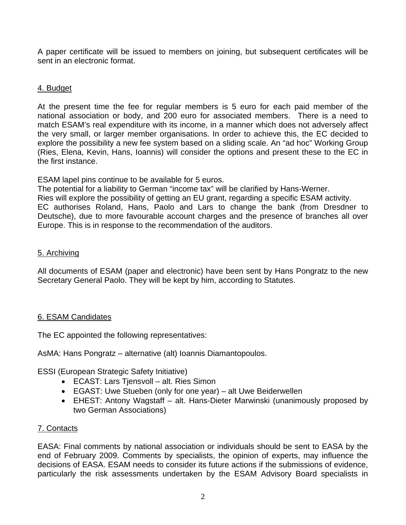A paper certificate will be issued to members on joining, but subsequent certificates will be sent in an electronic format.

## 4. Budget

At the present time the fee for regular members is 5 euro for each paid member of the national association or body, and 200 euro for associated members. There is a need to match ESAM's real expenditure with its income, in a manner which does not adversely affect the very small, or larger member organisations. In order to achieve this, the EC decided to explore the possibility a new fee system based on a sliding scale. An "ad hoc" Working Group (Ries, Elena, Kevin, Hans, Ioannis) will consider the options and present these to the EC in the first instance.

ESAM lapel pins continue to be available for 5 euros.

The potential for a liability to German "income tax" will be clarified by Hans-Werner.

Ries will explore the possibility of getting an EU grant, regarding a specific ESAM activity.

EC authorises Roland, Hans, Paolo and Lars to change the bank (from Dresdner to Deutsche), due to more favourable account charges and the presence of branches all over Europe. This is in response to the recommendation of the auditors.

## 5. Archiving

All documents of ESAM (paper and electronic) have been sent by Hans Pongratz to the new Secretary General Paolo. They will be kept by him, according to Statutes.

# 6. ESAM Candidates

The EC appointed the following representatives:

AsMA: Hans Pongratz – alternative (alt) Ioannis Diamantopoulos.

ESSI (European Strategic Safety Initiative)

- ECAST: Lars Tjensvoll alt. Ries Simon
- EGAST: Uwe Stueben (only for one year) alt Uwe Beiderwellen
- EHEST: Antony Wagstaff alt. Hans-Dieter Marwinski (unanimously proposed by two German Associations)

# 7. Contacts

EASA: Final comments by national association or individuals should be sent to EASA by the end of February 2009. Comments by specialists, the opinion of experts, may influence the decisions of EASA. ESAM needs to consider its future actions if the submissions of evidence, particularly the risk assessments undertaken by the ESAM Advisory Board specialists in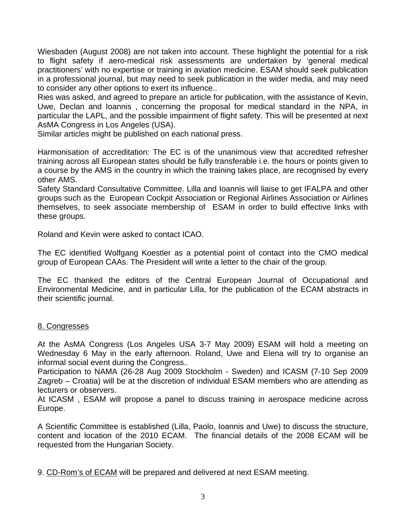Wiesbaden (August 2008) are not taken into account. These highlight the potential for a risk to flight safety if aero-medical risk assessments are undertaken by 'general medical practitioners' with no expertise or training in aviation medicine. ESAM should seek publication in a professional journal, but may need to seek publication in the wider media, and may need to consider any other options to exert its influence..

Ries was asked, and agreed to prepare an article for publication, with the assistance of Kevin, Uwe, Declan and Ioannis , concerning the proposal for medical standard in the NPA, in particular the LAPL, and the possible impairment of flight safety. This will be presented at next AsMA Congress in Los Angeles (USA).

Similar articles might be published on each national press.

Harmonisation of accreditation: The EC is of the unanimous view that accredited refresher training across all European states should be fully transferable i.e. the hours or points given to a course by the AMS in the country in which the training takes place, are recognised by every other AMS.

Safety Standard Consultative Committee. Lilla and Ioannis will liaise to get IFALPA and other groups such as the European Cockpit Association or Regional Airlines Association or Airlines themselves, to seek associate membership of ESAM in order to build effective links with these groups.

Roland and Kevin were asked to contact ICAO.

The EC identified Wolfgang Koestler as a potential point of contact into the CMO medical group of European CAAs. The President will write a letter to the chair of the group.

The EC thanked the editors of the Central European Journal of Occupational and Environmental Medicine, and in particular Lilla, for the publication of the ECAM abstracts in their scientific journal.

#### 8. Congresses

At the AsMA Congress (Los Angeles USA 3-7 May 2009) ESAM will hold a meeting on Wednesday 6 May in the early afternoon. Roland, Uwe and Elena will try to organise an informal social event during the Congress..

Participation to NAMA (26-28 Aug 2009 Stockholm - Sweden) and ICASM (7-10 Sep 2009 Zagreb – Croatia) will be at the discretion of individual ESAM members who are attending as lecturers or observers.

At ICASM , ESAM will propose a panel to discuss training in aerospace medicine across Europe.

A Scientific Committee is established (Lilla, Paolo, Ioannis and Uwe) to discuss the structure, content and location of the 2010 ECAM. The financial details of the 2008 ECAM will be requested from the Hungarian Society.

9. CD-Rom's of ECAM will be prepared and delivered at next ESAM meeting.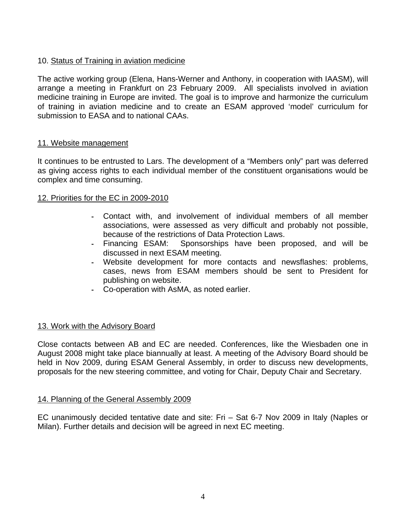## 10. Status of Training in aviation medicine

The active working group (Elena, Hans-Werner and Anthony, in cooperation with IAASM), will arrange a meeting in Frankfurt on 23 February 2009. All specialists involved in aviation medicine training in Europe are invited. The goal is to improve and harmonize the curriculum of training in aviation medicine and to create an ESAM approved 'model' curriculum for submission to EASA and to national CAAs.

## 11. Website management

It continues to be entrusted to Lars. The development of a "Members only" part was deferred as giving access rights to each individual member of the constituent organisations would be complex and time consuming.

#### 12. Priorities for the EC in 2009-2010

- Contact with, and involvement of individual members of all member associations, were assessed as very difficult and probably not possible, because of the restrictions of Data Protection Laws.
- Financing ESAM: Sponsorships have been proposed, and will be discussed in next ESAM meeting.
- Website development for more contacts and newsflashes: problems, cases, news from ESAM members should be sent to President for publishing on website.
- Co-operation with AsMA, as noted earlier.

## 13. Work with the Advisory Board

Close contacts between AB and EC are needed. Conferences, like the Wiesbaden one in August 2008 might take place biannually at least. A meeting of the Advisory Board should be held in Nov 2009, during ESAM General Assembly, in order to discuss new developments, proposals for the new steering committee, and voting for Chair, Deputy Chair and Secretary.

## 14. Planning of the General Assembly 2009

EC unanimously decided tentative date and site: Fri – Sat 6-7 Nov 2009 in Italy (Naples or Milan). Further details and decision will be agreed in next EC meeting.